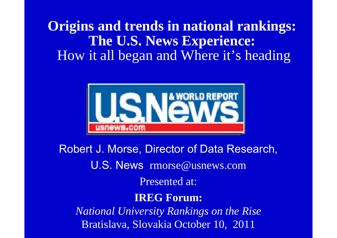**Origins and trends in national rankings:The U.S. News Experience:**How it all began and Where it's heading



Robert J. Morse, Director of Data Research, U.S. News rmorse@usnews.comPresented at:**IREG Forum:***National University Rankings on the Rise*Bratislava, Slovakia October 10, 2011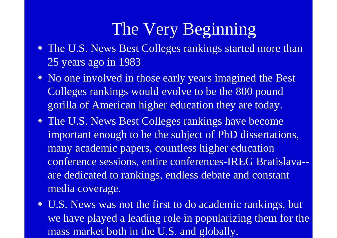## The Very Beginning

- The U.S. News Best Colleges rankings started more than 25 years ago in 1983
- No one involved in those early years imagined the Best Colleges rankings would evolve to be the 800 pound gorilla of American higher education they are today.
- The U.S. News Best Colleges rankings have become important enough to be the subject of PhD dissertations, many academic papers, countless higher education conference sessions, entire conferences-IREG Bratislava-are dedicated to rankings, endless debate and constant media coverage.
- U.S. News was not the first to do academic rankings, but we have played a leading role in popularizing them for the mass market both in the U.S. and globally.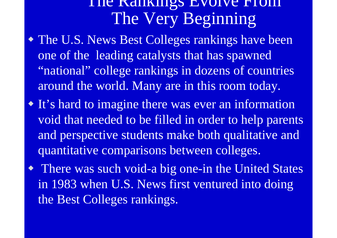#### The Rankings Evolve From The Very Beginning

- The U.S. News Best Colleges rankings have been one of the leading catalysts that has spawned "national" college rankings in dozens of countries around the world. Many are in this room today.
- It's hard to imagine there was ever an information void that needed to be filled in order to help parents and perspective students make both qualitative and quantitative comparisons between colleges.

• There was such void-a big one-in the United States in 1983 when U.S. News first ventured into doing the Best Colleges rankings.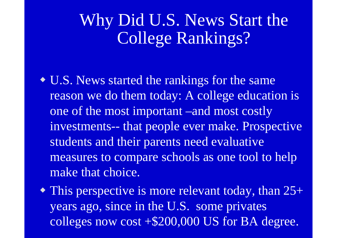## Why Did U.S. News Start the College Rankings?

- U.S. News started the rankings for the same reason we do them today: A college education is one of the most important –and most costly investments-- that people ever make. Prospective students and their parents need evaluative measures to compare schools as one tool to help make that choice.
- This perspective is more relevant today, than  $25+$ years ago, since in the U.S. some privates colleges now cost +\$200,000 US for BA degree.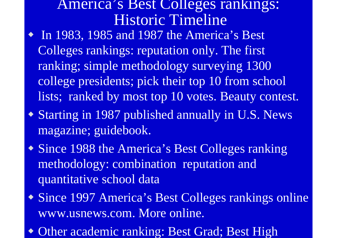America's Best Colleges rankings:Historic Timeline In 1983, 1985 and 1987 the America's Best Colleges rankings: reputation only. The first ranking; simple methodology surveying 1300 college presidents; pick their top 10 from school lists; ranked by most top 10 votes. Beauty contest.

 Starting in 1987 published annually in U.S. News magazine; guidebook.

 Since 1988 the America's Best Colleges ranking methodology: combination reputation and quantitative school data

- Since 1997 America's Best Colleges rankings online www.usnews.com. More online.
- Other academic ranking: Best Grad; Best High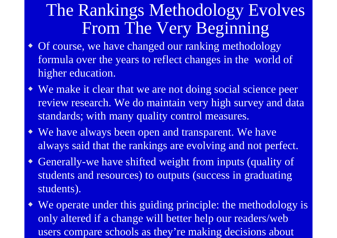## The Rankings Methodology Evolves From The Very Beginning

- Of course, we have changed our ranking methodology formula over the years to reflect changes in the world of higher education.
- We make it clear that we are not doing social science peer review research. We do maintain very high survey and data standards; with many quality control measures.
- We have always been open and transparent. We have always said that the rankings are evolving and not perfect.
- Generally-we have shifted weight from inputs (quality of students and resources) to outputs (success in graduating students).
- We operate under this guiding principle: the methodology is only altered if a change will better help our readers/web users compare schools as they're making decisions about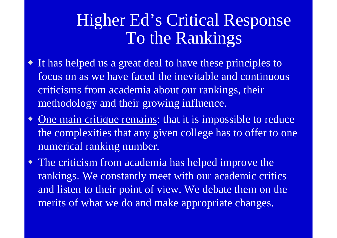## Higher Ed's Critical Response To the Rankings

- It has helped us a great deal to have these principles to focus on as we have faced the inevitable and continuous criticisms from academia about our rankings, their methodology and their growing influence.
- One main critique remains: that it is impossible to reduce the complexities that any given college has to offer to one numerical ranking number.
- The criticism from academia has helped improve the rankings. We constantly meet with our academic critics and listen to their point of view. We debate them on the merits of what we do and make appropriate changes.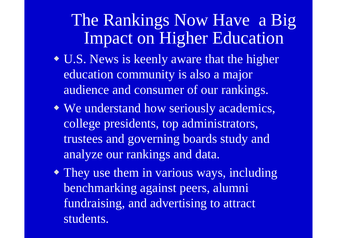## The Rankings Now Have a Big Impact on Higher Education

- U.S. News is keenly aware that the higher education community is also a major audience and consumer of our rankings.
- We understand how seriously academics, college presidents, top administrators, trustees and governing boards study and analyze our rankings and data.
- They use them in various ways, including benchmarking against peers, alumni fundraising, and advertising to attract students.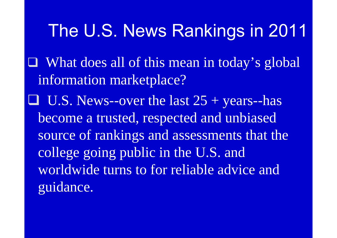# The U.S. News Rankings in 2011

 $\Box$  What does all of this mean in today's global information marketplace?

 $\Box$  U.S. News--over the last  $25 + \text{years}$ -has become a trusted, respected and unbiased source of rankings and assessments that the college going public in the U.S. and worldwide turns to for reliable advice and guidance.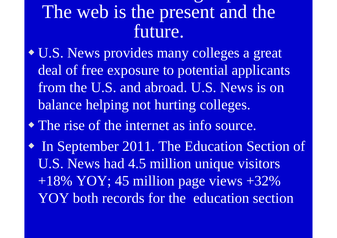# The U.S News ranking experience: The U.S News ranking experience: The U.S News ranking experience: The U.S News ranking experience: The U.S News ranking experience: The U.S News ranking experience: The U.S News ranking exp The web is the present and the future.

 U.S. News provides many colleges a great deal of free exposure to potential applicants from the U.S. and abroad. U.S. News is on balance helping not hurting colleges.

The rise of the internet as info source.

 In September 2011. The Education Section of U.S. News had 4.5 million unique visitors  $+18\%$  YOY; 45 million page views  $+32\%$ YOY both records for the education section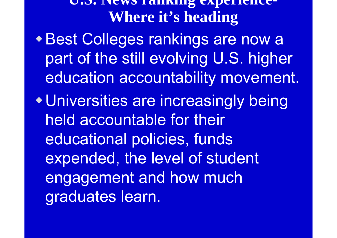**U.S. News ranking experienceWhere it's heading**

Best Colleges rankings are now a part of the still evolving U.S. higher education accountability movement.

Universities are increasingly being held accountable for their educational policies, funds expended, the level of student engagement and how much graduates learn.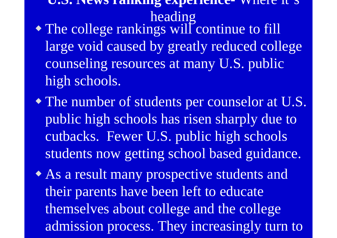**U.S. News ranking experience**" WHELE IL S heading The college rankings will continue to fill large void caused by greatly reduced college counseling resources at many U.S. public high schools.

• The number of students per counselor at U.S. public high schools has risen sharply due to cutbacks. Fewer U.S. public high schools students now getting school based guidance.

 As a result many prospective students and their parents have been left to educate themselves about college and the college admission process. They increasingly turn to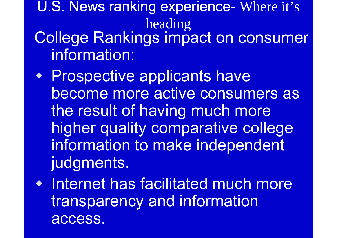U.S. News ranking experience- Where it's heading College Rankings impact on consumer information:

- Prospective applicants have become more active consumers as the result of having much more higher quality comparative college information to make independent judgments.
- Internet has facilitated much more transparency and information access.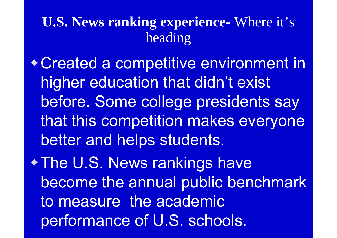#### **U.S. News ranking experience-** Where it's heading

Created a competitive environment in higher education that didn't exist before. Some college presidents say that this competition makes everyone better and helps students.

• The U.S. News rankings have become the annual public benchmark to measure the academic performance of U.S. schools.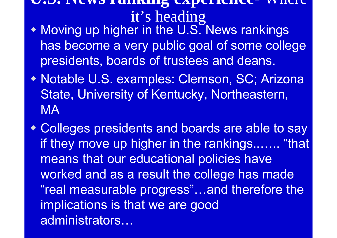#### **U.S. News ranking experience** $\sim$  Where it's heading

- Moving up higher in the U.S. News rankings has become a very public goal of some college presidents, boards of trustees and deans.
- Notable U.S. examples: Clemson, SC; Arizona State, University of Kentucky, Northeastern, **MA**
- Colleges presidents and boards are able to say if they move up higher in the rankings..….. "that means that our educational policies have worked and as a result the college has made "real measurable progress"…and therefore the implications is that we are good administrators…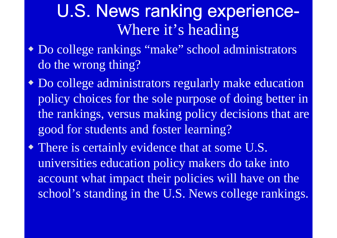## U.S. News ranking experience-Where it's heading

- Do college rankings "make" school administrators do the wrong thing?
- Do college administrators regularly make education policy choices for the sole purpose of doing better in the rankings, versus making policy decisions that are good for students and foster learning?
- There is certainly evidence that at some U.S. universities education policy makers do take into account what impact their policies will have on theschool's standing in the U.S. News college rankings.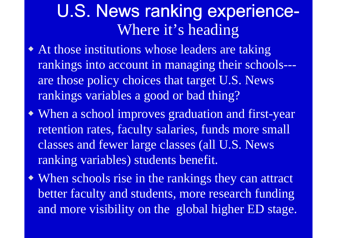## U.S. News ranking experience-Where it's heading

- At those institutions whose leaders are taking rankings into account in managing their schools--are those policy choices that target U.S. News rankings variables a good or bad thing?
- When a school improves graduation and first-year retention rates, faculty salaries, funds more smallclasses and fewer large classes (all U.S. News ranking variables) students benefit.
- When schools rise in the rankings they can attract better faculty and students, more research funding and more visibility on the global higher ED stage.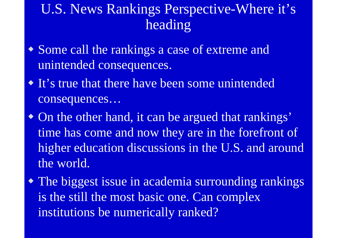#### U.S. News Rankings Perspective-Where it's heading

- Some call the rankings a case of extreme and unintended consequences.
- It's true that there have been some unintended consequences…
- On the other hand, it can be argued that rankings' time has come and now they are in the forefront of higher education discussions in the U.S. and aroundthe world.
- The biggest issue in academia surrounding rankings is the still the most basic one. Can complex institutions be numerically ranked?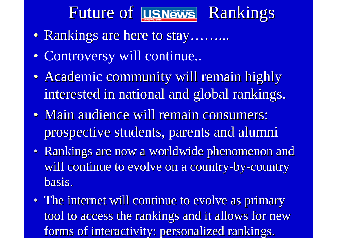## **Future of Lusnews Rankings**

- Rankings are here to stay……..
- Controversy will continue..
- •• Academic community will remain highly interested in national and global rankings.
- Main audience will remain consumers: prospective students, parents and alumni
- Rankings are now a worldwide phenomenon and will continue to evolve on a country-by-country basis.
- The internet will continue to evolve as primary tool to access the rankings and it allows for new forms of interactivity: personalized rankings.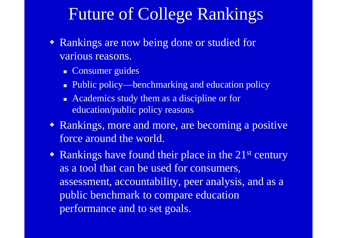## Future of College Rankings

- Rankings are now being done or studied for various reasons.
	- Consumer guides
	- Public policy—benchmarking and education policy
	- Academics study them as a discipline or for education/public policy reasons
- Rankings, more and more, are becoming a positive force around the world.
- Rankings have found their place in the  $21<sup>st</sup>$  century as a tool that can be used for consumers, assessment, accountability, peer analysis, and as apublic benchmark to compare education performance and to set goals.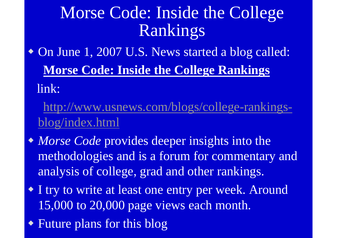# Morse Code: Inside the College Rankings

 On June 1, 2007 U.S. News started a blog called: **Morse Code: Inside the College Rankings** link:

http://www.usnews.com/blogs/college-rankingsblog/index.html

- *Morse Code* provides deeper insights into the methodologies and is a forum for commentary and analysis of college, grad and other rankings.
- I try to write at least one entry per week. Around 15,000 to 20,000 page views each month.
- Future plans for this blog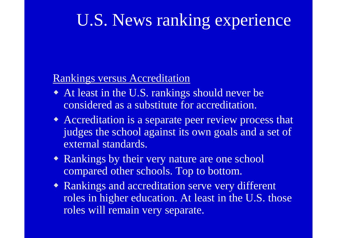## U.S. News ranking experience

#### Rankings versus Accreditation

- At least in the U.S. rankings should never be considered as a substitute for accreditation.
- Accreditation is a separate peer review process that judges the school against its own goals and a set of external standards.
- Rankings by their very nature are one school compared other schools. Top to bottom.
- Rankings and accreditation serve very different roles in higher education. At least in the U.S. those roles will remain very separate.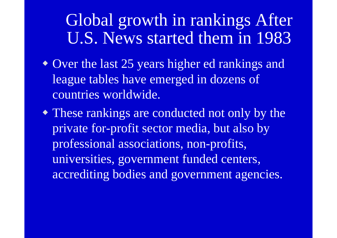## Global growth in rankings After U.S. News started them in 1983

- Over the last 25 years higher ed rankings and league tables have emerged in dozens of countries worldwide.
- These rankings are conducted not only by the private for-profit sector media, but also by professional associations, non-profits, universities, government funded centers, accrediting bodies and government agencies.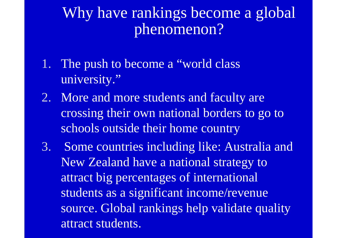#### Why have rankings become a global phenomenon?

- 1. The push to become a "world class university."
- 2. More and more students and faculty are crossing their own national borders to go to schools outside their home country
- 3. Some countries including like: Australia and New Zealand have a national strategy to attract big percentages of international students as a significant income/revenue source. Global rankings help validate quality attract students.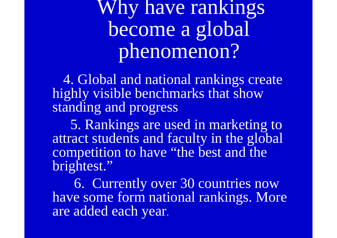Why have rankings become a global phenomenon?

4. Global and national rankings create highly visible benchmarks that show standing and progress

5. Rankings are used in marketing to attract students and faculty in the global competition to have "the best and the brightest."

6. Currently over 30 countries now have some form national rankings. More are added each year.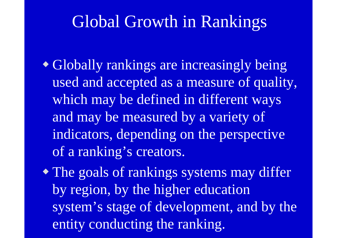## Global Growth in Rankings

- Globally rankings are increasingly being used and accepted as a measure of quality, which may be defined in different ways and may be measured by a variety of indicators, depending on the perspective of a ranking's creators.
- The goals of rankings systems may differ by region, by the higher education system's stage of development, and by the entity conducting the ranking.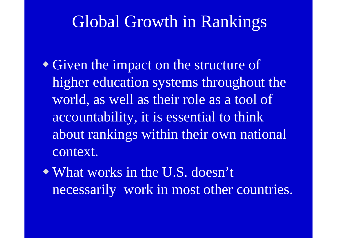## Global Growth in Rankings

- Given the impact on the structure of higher education systems throughout the world, as well as their role as a tool of accountability, it is essential to think about rankings within their own national context.
- What works in the U.S. doesn't necessarily work in most other countries.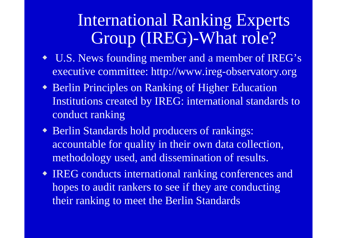# International Ranking Experts Group (IREG)-What role?

- U.S. News founding member and a member of IREG's executive committee: http://www.ireg-observatory.org
- Berlin Principles on Ranking of Higher Education Institutions created by IREG: international standards to conduct ranking
- Berlin Standards hold producers of rankings: accountable for quality in their own data collection, methodology used, and dissemination of results.
- IREG conducts international ranking conferences and hopes to audit rankers to see if they are conducting their ranking to meet the Berlin Standards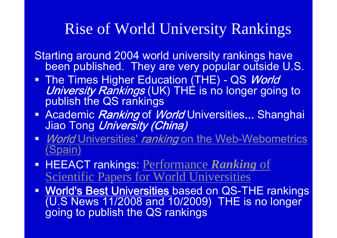### Rise of World University Rankings

Starting around 2004 world university rankings havebeen published. They are very popular outside U.S.

- The Times Higher Education (THE) QS *World*<br>Alpiversity Replings (UK) THE is no longer goin University Rankings (UK) THE is no longer going to publish the QS rankings
- Academic *Ranking* of *World* Universities... Shanghai<br>Lies Tens *Lleiversity (China)* Jiao Tong University (China)
- Morld Universities' ranking on the Web-Webometrics (Spain) (Spain)
- HEEACT rankings: Performance *Ranking* of Scientific Papers for World Universities
- **World's Best Universities based on QS-THE rankings** (U.S News 11/2008 and 10/2009) THE is no longer going to publish the QS rankings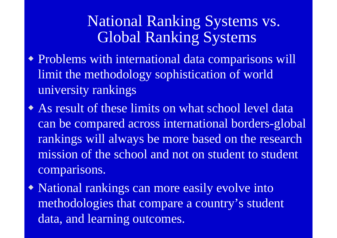## National Ranking Systems vs. Global Ranking Systems

- Problems with international data comparisons will limit the methodology sophistication of world university rankings
- As result of these limits on what school level data can be compared across international borders-globalrankings will always be more based on the research mission of the school and not on student to studentcomparisons.
- National rankings can more easily evolve into methodologies that compare a country's student data, and learning outcomes.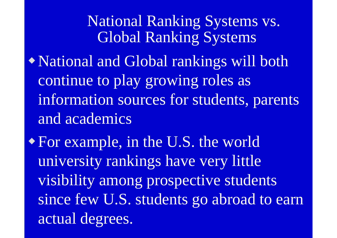National Ranking Systems vs. Global Ranking Systems National and Global rankings will both continue to play growing roles as information sources for students, parents and academics

For example, in the U.S. the world university rankings have very little visibility among prospective students since few U.S. students go abroad to earn actual degrees.